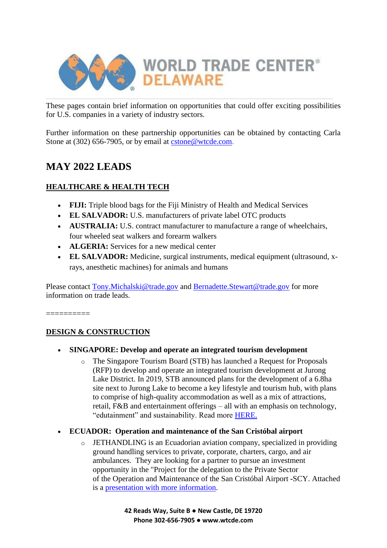

These pages contain brief information on opportunities that could offer exciting possibilities for U.S. companies in a variety of industry sectors.

Further information on these partnership opportunities can be obtained by contacting Carla Stone at (302) 656-7905, or by email at [cstone@wtcde.com.](mailto:cstone@wtcde.com)

# **MAY 2022 LEADS**

# **HEALTHCARE & HEALTH TECH**

- **FIJI:** Triple blood bags for the Fiji Ministry of Health and Medical Services
- **EL SALVADOR:** U.S. manufacturers of private label OTC products
- **AUSTRALIA:** U.S. contract manufacturer to manufacture a range of wheelchairs, four wheeled seat walkers and forearm walkers
- **ALGERIA:** Services for a new medical center
- **EL SALVADOR:** Medicine, surgical instruments, medical equipment (ultrasound, xrays, anesthetic machines) for animals and humans

Please contact [Tony.Michalski@trade.gov](mailto:Tony.Michalski@trade.gov) and [Bernadette.Stewart@trade.gov](mailto:Bernadette.Stewart@trade.gov) for more information on trade leads.

==========

# **DESIGN & CONSTRUCTION**

- **SINGAPORE: Develop and operate an integrated tourism development**
	- o The Singapore Tourism Board (STB) has launched a Request for Proposals (RFP) to develop and operate an integrated tourism development at Jurong Lake District. In 2019, STB announced plans for the development of a 6.8ha site next to Jurong Lake to become a key lifestyle and tourism hub, with plans to comprise of high-quality accommodation as well as a mix of attractions, retail, F&B and entertainment offerings – all with an emphasis on technology, "edutainment" and sustainability. Read more [HERE.](https://lnks.gd/l/eyJhbGciOiJIUzI1NiJ9.eyJidWxsZXRpbl9saW5rX2lkIjoxMDgsInVyaSI6ImJwMjpjbGljayIsImJ1bGxldGluX2lkIjoiMjAyMjA1MTAuNTc3MDk4OTEiLCJ1cmwiOiJodHRwczovL3d3dy5zdGIuZ292LnNnL2NvbnRlbnQvc3RiL2VuL21lZGlhLWNlbnRyZS9tZWRpYS1yZWxlYXNlcy9TVEItTGF1bmNoZXMtUmVxdWVzdC1mb3ItUHJvcG9zYWxzLWZvci1hbi1pbnRlZ3JhdGVkLXRvdXJpc20tZGV2ZWxvcG1lbnQtYXQtSnVyb25nLUxha2UtRGlzdHJpY3QuaHRtbCJ9.lKhF_zOyf5atzDnnhAv4_8NAi3Cv_LiiGACm5BOQnc0/s/375238915/br/131107948229-l)

# • **ECUADOR: Operation and maintenance of the San Cristóbal airport**

o JETHANDLING is an Ecuadorian aviation company, specialized in providing ground handling services to private, corporate, charters, cargo, and air ambulances. They are looking for a partner to pursue an investment opportunity in the "Project for the delegation to the Private Sector of the Operation and Maintenance of the San Cristóbal Airport **-**SCY. Attached is a [presentation with more information.](https://lnks.gd/l/eyJhbGciOiJIUzI1NiJ9.eyJidWxsZXRpbl9saW5rX2lkIjoxMTQsInVyaSI6ImJwMjpjbGljayIsImJ1bGxldGluX2lkIjoiMjAyMjA1MTAuNTc3MDk4OTEiLCJ1cmwiOiJodHRwczovL2NvbnRlbnQuZ292ZGVsaXZlcnkuY29tL2F0dGFjaG1lbnRzL1VTSVRBVFJBREUvMjAyMi8wNC8wNy9maWxlX2F0dGFjaG1lbnRzLzIxMjYwOTIvUHJlc2VudGFjaUElQ0MlODMlQzIlQjNuJTIwSVAlMjBBZXJvcHVlcnRvJTIwU2FuJTIwJTIwQ3Jpc3RBJUNDJTgzJUMyJUIzYmFsJTIwSmV0aGFuZGxpbmcucGRmIn0.KuaOG8mKwXXu1lrOyyEqENDCCvoR3DaaT22Vi3PcUck/s/375238915/br/131107948229-l)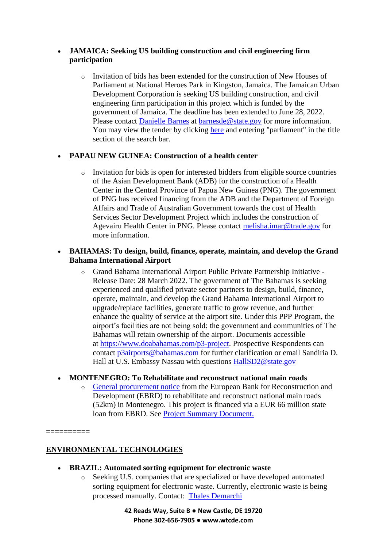### • **JAMAICA: Seeking US building construction and civil engineering firm participation**

o Invitation of bids has been extended for the construction of New Houses of Parliament at National Heroes Park in Kingston, Jamaica. The Jamaican Urban Development Corporation is seeking US building construction, and civil engineering firm participation in this project which is funded by the government of Jamaica. The deadline has been extended to June 28, 2022. Please contact [Danielle Barnes](mailto:barnesde@state.gov) at [barnesde@state.gov](mailto:barnesde@state.gov) for more information. You may view the tender by clicking [here](https://lnks.gd/l/eyJhbGciOiJIUzI1NiJ9.eyJidWxsZXRpbl9saW5rX2lkIjoxMDksInVyaSI6ImJwMjpjbGljayIsImJ1bGxldGluX2lkIjoiMjAyMjA1MTAuNTc3MDk4OTEiLCJ1cmwiOiJodHRwczovL3d3dy5nb2plcC5nb3Yuam0vZXBwcy9wcmVwYXJlQWR2YW5jZWRTZWFyY2guZG8_dHlwZT1jZnRGVFMifQ.D7NM6dw6LYejD1zj4rvuGzEQ4VVPKUWWPYMKS9kFsKs/s/375238915/br/131107948229-l) and entering "parliament" in the title section of the search bar.

### • **PAPAU NEW GUINEA: Construction of a health center**

 $\circ$  Invitation for bids is open for interested bidders from eligible source countries of the Asian Development Bank (ADB) for the construction of a Health Center in the Central Province of Papua New Guinea (PNG). The government of PNG has received financing from the ADB and the Department of Foreign Affairs and Trade of Australian Government towards the cost of Health Services Sector Development Project which includes the construction of Agevairu Health Center in PNG. Please contact [melisha.imar@trade.gov](mailto:melisha.imar@trade.gov) for more information.

### • **BAHAMAS: To design, build, finance, operate, maintain, and develop the Grand Bahama International Airport**

o Grand Bahama International Airport Public Private Partnership Initiative - Release Date: 28 March 2022. The government of The Bahamas is seeking experienced and qualified private sector partners to design, build, finance, operate, maintain, and develop the Grand Bahama International Airport to upgrade/replace facilities, generate traffic to grow revenue, and further enhance the quality of service at the airport site. Under this PPP Program, the airport's facilities are not being sold; the government and communities of The Bahamas will retain ownership of the airport. Documents accessible at [https://www.doabahamas.com/p3-project.](https://www.doabahamas.com/p3-project) Prospective Respondents can contact [p3airports@bahamas.com](mailto:p3airports@bahamas.com) for further clarification or email Sandiria D. Hall at U.S. Embassy Nassau with questions [HallSD2@state.gov](mailto:HallSD2@state.gov)

#### • **MONTENEGRO: To Rehabilitate and reconstruct national main roads**

o [General procurement notice](https://lnks.gd/l/eyJhbGciOiJIUzI1NiJ9.eyJidWxsZXRpbl9saW5rX2lkIjoxMTUsInVyaSI6ImJwMjpjbGljayIsImJ1bGxldGluX2lkIjoiMjAyMjA1MTAuNTc3MDk4OTEiLCJ1cmwiOiJodHRwczovL2VjZXBwLmVicmQuY29tL2RlbHRhL3ZpZXdOb3RpY2UuaHRtbD9kaXNwbGF5Tm90aWNlSWQ9MjEwOTEwOTYifQ.XdSC20dq_GcJAaEazsnjKB-R2ZV5FxP5WOxBfdN297A/s/375238915/br/131107948229-l) from the European Bank for Reconstruction and Development (EBRD) to rehabilitate and reconstruct national main roads (52km) in Montenegro. This project is financed via a EUR 66 million state loan from EBRD. See [Project Summary Document.](https://lnks.gd/l/eyJhbGciOiJIUzI1NiJ9.eyJidWxsZXRpbl9saW5rX2lkIjoxMTYsInVyaSI6ImJwMjpjbGljayIsImJ1bGxldGluX2lkIjoiMjAyMjA1MTAuNTc3MDk4OTEiLCJ1cmwiOiJodHRwczovL3d3dy5lYnJkLmNvbS93b3JrLXdpdGgtdXMvcHJvamVjdHMvcHNkL21haW4tcm9hZHMtcmVjb25zdHJ1Y3Rpb24tcHJvamVjdC5odG1sIn0.w8QbpFlCtNg9u9dLATcbzanUxegYbV_MeSrfIuRUiWk/s/375238915/br/131107948229-l)

==========

# **ENVIRONMENTAL TECHNOLOGIES**

- **BRAZIL: Automated sorting equipment for electronic waste**
	- o Seeking U.S. companies that are specialized or have developed automated sorting equipment for electronic waste. Currently, electronic waste is being processed manually. Contact: [Thales Demarchi](mailto:Thales.Demarchi@trade.gov)

**42 Reads Way, Suite B ● New Castle, DE 19720 Phone 302-656-7905 ● www.wtcde.com**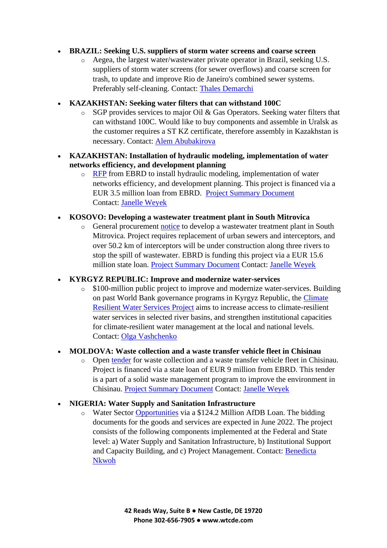#### • **BRAZIL: Seeking U.S. suppliers of storm water screens and coarse screen**

- o Aegea, the largest water/wastewater private operator in Brazil, seeking U.S. suppliers of storm water screens (for sewer overflows) and coarse screen for trash, to update and improve Rio de Janeiro's combined sewer systems. Preferably self-cleaning. Contact: [Thales Demarchi](mailto:Thales.Demarchi@trade.gov)
- **KAZAKHSTAN: Seeking water filters that can withstand 100C**
	- o SGP provides services to major Oil & Gas Operators. Seeking water filters that can withstand 100C. Would like to buy components and assemble in Uralsk as the customer requires a ST KZ certificate, therefore assembly in Kazakhstan is necessary. Contact: [Alem Abubakirova](mailto:Alem.Abubakirova@trade.gov)
- **KAZAKHSTAN: Installation of hydraulic modeling, implementation of water networks efficiency, and development planning**
	- o [RFP](https://lnks.gd/l/eyJhbGciOiJIUzI1NiJ9.eyJidWxsZXRpbl9saW5rX2lkIjoxMTUsInVyaSI6ImJwMjpjbGljayIsImJ1bGxldGluX2lkIjoiMjAyMjA1MTEuNTc3NjE4NTEiLCJ1cmwiOiJodHRwczovL2VjZXBwLmVicmQuY29tL2RlbHRhL3ZpZXdOb3RpY2UuaHRtbD9kaXNwbGF5Tm90aWNlSWQ9MjA4ODIwMjYifQ._pTxnIBgGlqw3ZA2XHsr76dEuRh_q70O0mV5YFXm_xg/s/375238915/br/131167118637-l) from EBRD to install hydraulic modeling, implementation of water networks efficiency, and development planning. This project is financed via a EUR 3.5 million loan from EBRD. [Project Summary Document](https://lnks.gd/l/eyJhbGciOiJIUzI1NiJ9.eyJidWxsZXRpbl9saW5rX2lkIjoxMTYsInVyaSI6ImJwMjpjbGljayIsImJ1bGxldGluX2lkIjoiMjAyMjA1MTEuNTc3NjE4NTEiLCJ1cmwiOiJodHRwczovL3d3dy5lYnJkLmNvbS93b3JrLXdpdGgtdXMvcHJvamVjdHMvcHNkL3NlbWV5LXdhdGVyLmh0bWwifQ.V97Dai-PJacIPPZr15OgHxB7V_stu_KTb6AEg6yn0ZQ/s/375238915/br/131167118637-l) Contact: [Janelle Weyek](mailto:Janelle.Weyek@trade.gov)
- **KOSOVO: Developing a wastewater treatment plant in South Mitrovica**
	- o General procurement [notice](https://lnks.gd/l/eyJhbGciOiJIUzI1NiJ9.eyJidWxsZXRpbl9saW5rX2lkIjoxMTcsInVyaSI6ImJwMjpjbGljayIsImJ1bGxldGluX2lkIjoiMjAyMjA1MTEuNTc3NjE4NTEiLCJ1cmwiOiJodHRwczovL2VjZXBwLmVicmQuY29tL2RlbHRhL3ZpZXdOb3RpY2UuaHRtbD9kaXNwbGF5Tm90aWNlSWQ9MjEyNzI5MDYifQ.ZFSqT_1pob5pA9xJRRge03gbQP-z2K_8joa-mxyfecU/s/375238915/br/131167118637-l) to develop a wastewater treatment plant in South Mitrovica. Project requires replacement of urban sewers and interceptors, and over 50.2 km of interceptors will be under construction along three rivers to stop the spill of wastewater. EBRD is funding this project via a EUR 15.6 million state loan. [Project Summary Document](https://lnks.gd/l/eyJhbGciOiJIUzI1NiJ9.eyJidWxsZXRpbl9saW5rX2lkIjoxMTgsInVyaSI6ImJwMjpjbGljayIsImJ1bGxldGluX2lkIjoiMjAyMjA1MTEuNTc3NjE4NTEiLCJ1cmwiOiJodHRwczovL3d3dy5lYnJkLmNvbS93b3JrLXdpdGgtdXMvcHJvamVjdHMvcHNkL21pdHJvdmljYS13YXN0ZXdhdGVyLWRldmVsb3BtZW50LXByb2plY3QuaHRtbCJ9.KArtVsTiV2nr63epgQ4p8wyD0lZ2AfirbJ4zSrYWyEU/s/375238915/br/131167118637-l) Contact: [Janelle Weyek](mailto:Janelle.Weyek@trade.gov)

#### • **KYRGYZ REPUBLIC: Improve and modernize water-services**

o \$100-million public project to improve and modernize water-services. Building on past World Bank governance programs in Kyrgyz Republic, the [Climate](https://lnks.gd/l/eyJhbGciOiJIUzI1NiJ9.eyJidWxsZXRpbl9saW5rX2lkIjoxMTksInVyaSI6ImJwMjpjbGljayIsImJ1bGxldGluX2lkIjoiMjAyMjA1MTEuNTc3NjE4NTEiLCJ1cmwiOiJodHRwczovL3Byb2plY3RzLndvcmxkYmFuay5vcmcvZW4vcHJvamVjdHMtb3BlcmF0aW9ucy9wcm9qZWN0LWRldGFpbC9QMTczNzM0In0.FfYHcn53rZJZPf5Ppg1GC2AoCiRAiej_VoB0tHRewJQ/s/375238915/br/131167118637-l)  [Resilient Water Services Project](https://lnks.gd/l/eyJhbGciOiJIUzI1NiJ9.eyJidWxsZXRpbl9saW5rX2lkIjoxMTksInVyaSI6ImJwMjpjbGljayIsImJ1bGxldGluX2lkIjoiMjAyMjA1MTEuNTc3NjE4NTEiLCJ1cmwiOiJodHRwczovL3Byb2plY3RzLndvcmxkYmFuay5vcmcvZW4vcHJvamVjdHMtb3BlcmF0aW9ucy9wcm9qZWN0LWRldGFpbC9QMTczNzM0In0.FfYHcn53rZJZPf5Ppg1GC2AoCiRAiej_VoB0tHRewJQ/s/375238915/br/131167118637-l) aims to increase access to climate-resilient water services in selected river basins, and strengthen institutional capacities for climate-resilient water management at the local and national levels. Contact: [Olga Vashchenko](mailto:Olga.Vashchenko@trade.gov)

#### • **MOLDOVA: Waste collection and a waste transfer vehicle fleet in Chisinau**

o Open [tender](https://lnks.gd/l/eyJhbGciOiJIUzI1NiJ9.eyJidWxsZXRpbl9saW5rX2lkIjoxMjAsInVyaSI6ImJwMjpjbGljayIsImJ1bGxldGluX2lkIjoiMjAyMjA1MTEuNTc3NjE4NTEiLCJ1cmwiOiJodHRwczovL2VjZXBwLmVicmQuY29tL2RlbHRhL3ZpZXdOb3RpY2UuaHRtbD9kaXNwbGF5Tm90aWNlSWQ9MTQyODkwNjYifQ.iRPHyBNAtLGSFuy9pov9jLBabIEJ90vZJZc-AIV66yc/s/375238915/br/131167118637-l) for waste collection and a waste transfer vehicle fleet in Chisinau. Project is financed via a state loan of EUR 9 million from EBRD. This tender is a part of a solid waste management program to improve the environment in Chisinau. [Project Summary Document](https://lnks.gd/l/eyJhbGciOiJIUzI1NiJ9.eyJidWxsZXRpbl9saW5rX2lkIjoxMjEsInVyaSI6ImJwMjpjbGljayIsImJ1bGxldGluX2lkIjoiMjAyMjA1MTEuNTc3NjE4NTEiLCJ1cmwiOiJodHRwczovL3d3dy5lYnJkLmNvbS93b3JrLXdpdGgtdXMvcHJvamVjdHMvcHNkL2dyZWVuLWNpdGllcy1jaGlzaW5hdS1zb2xpZC13YXN0ZS5odG1sIn0.-Wi5e1cRiie1e67D_-eyhQsXJLPCw5wCBIRuRdss6k0/s/375238915/br/131167118637-l) Contact: [Janelle Weyek](mailto:Janelle.Weyek@trade.gov)

#### • **NIGERIA: Water Supply and Sanitation Infrastructure**

o Water Sector [Opportunities](https://lnks.gd/l/eyJhbGciOiJIUzI1NiJ9.eyJidWxsZXRpbl9saW5rX2lkIjoxMjIsInVyaSI6ImJwMjpjbGljayIsImJ1bGxldGluX2lkIjoiMjAyMjA1MTEuNTc3NjE4NTEiLCJ1cmwiOiJodHRwczovL3d3dy5hZmRiLm9yZy9lbi9kb2N1bWVudHMvZ3BuLW5pZ2VyaWEtbmlnZXJpYW4tdXJiYW4td2F0ZXItc2VjdG9yLXJlZm9ybS1hbmQtYWt1cmUtd2F0ZXItc3VwcGx5LWFuZC1zYW5pdGF0aW9uLXByb2plY3Q_bWNfY2lkPWJiNjc2MGYyYjgmbWNfZWlkPWYwYmY3ZjliNjEifQ.Ti7Bo_GLhlhtMz4VzUfRoCaiK5G4mcdaZ9FtTTRTF-k/s/375238915/br/131167118637-l) via a \$124.2 Million AfDB Loan. The bidding documents for the goods and services are expected in June 2022. The project consists of the following components implemented at the Federal and State level: a) Water Supply and Sanitation Infrastructure, b) Institutional Support and Capacity Building, and c) Project Management. Contact: [Benedicta](mailto:Benedicta.Nkwoh@trade.gov)  [Nkwoh](mailto:Benedicta.Nkwoh@trade.gov)